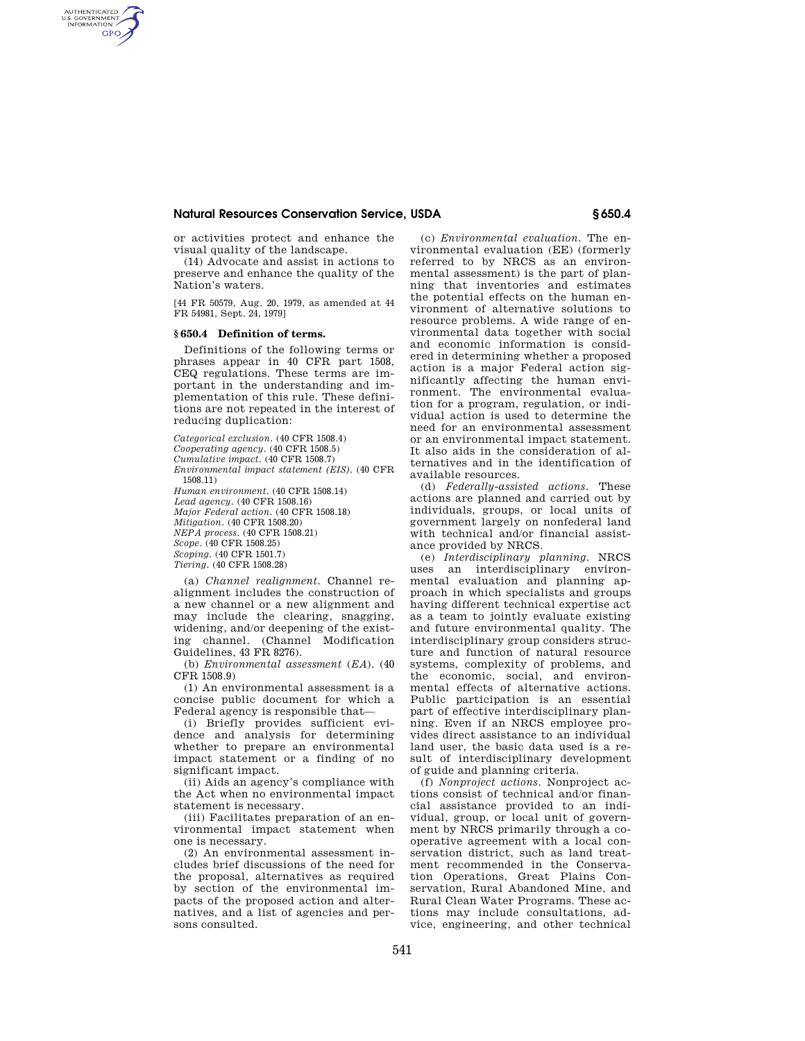## **Natural Resources Conservation Service, USDA § 650.4**

or activities protect and enhance the visual quality of the landscape.

(14) Advocate and assist in actions to preserve and enhance the quality of the Nation's waters.

[44 FR 50579, Aug. 20, 1979, as amended at 44 FR 54981, Sept. 24, 1979]

#### **§ 650.4 Definition of terms.**

AUTHENTICATED<br>U.S. GOVERNMENT<br>INFORMATION **GPO** 

> Definitions of the following terms or phrases appear in 40 CFR part 1508, CEQ regulations. These terms are important in the understanding and implementation of this rule. These definitions are not repeated in the interest of reducing duplication:

> *Categorical exclusion.* (40 CFR 1508.4) *Cooperating agency.* (40 CFR 1508.5) *Cumulative impact.* (40 CFR 1508.7) *Environmental impact statement (EIS).* (40 CFR 1508.11) *Human environment.* (40 CFR 1508.14) *Lead agency.* (40 CFR 1508.16) *Major Federal action.* (40 CFR 1508.18) *Mitigation.* (40 CFR 1508.20) *NEPA process.* (40 CFR 1508.21) *Scope.* (40 CFR 1508.25) *Scoping.* (40 CFR 1501.7) *Tiering.* (40 CFR 1508.28)

(a) *Channel realignment.* Channel realignment includes the construction of a new channel or a new alignment and may include the clearing, snagging, widening, and/or deepening of the existing channel. (Channel Modification Guidelines, 43 FR 8276).

(b) *Environmental assessment* (*EA*). (40 CFR 1508.9)

(1) An environmental assessment is a concise public document for which a Federal agency is responsible that—

(i) Briefly provides sufficient evidence and analysis for determining whether to prepare an environmental impact statement or a finding of no significant impact.

(ii) Aids an agency's compliance with the Act when no environmental impact statement is necessary.

(iii) Facilitates preparation of an environmental impact statement when one is necessary.

(2) An environmental assessment includes brief discussions of the need for the proposal, alternatives as required by section of the environmental impacts of the proposed action and alternatives, and a list of agencies and persons consulted.

(c) *Environmental evaluation.* The environmental evaluation (EE) (formerly referred to by NRCS as an environmental assessment) is the part of planning that inventories and estimates the potential effects on the human environment of alternative solutions to resource problems. A wide range of environmental data together with social and economic information is considered in determining whether a proposed action is a major Federal action significantly affecting the human environment. The environmental evaluation for a program, regulation, or individual action is used to determine the need for an environmental assessment or an environmental impact statement. It also aids in the consideration of alternatives and in the identification of available resources.

(d) *Federally-assisted actions.* These actions are planned and carried out by individuals, groups, or local units of government largely on nonfederal land with technical and/or financial assistance provided by NRCS.

(e) *Interdisciplinary planning.* NRCS uses an interdisciplinary environmental evaluation and planning approach in which specialists and groups having different technical expertise act as a team to jointly evaluate existing and future environmental quality. The interdisciplinary group considers structure and function of natural resource systems, complexity of problems, and the economic, social, and environmental effects of alternative actions. Public participation is an essential part of effective interdisciplinary planning. Even if an NRCS employee provides direct assistance to an individual land user, the basic data used is a result of interdisciplinary development of guide and planning criteria.

(f) *Nonproject actions.* Nonproject actions consist of technical and/or financial assistance provided to an individual, group, or local unit of government by NRCS primarily through a cooperative agreement with a local conservation district, such as land treatment recommended in the Conservation Operations, Great Plains Conservation, Rural Abandoned Mine, and Rural Clean Water Programs. These actions may include consultations, advice, engineering, and other technical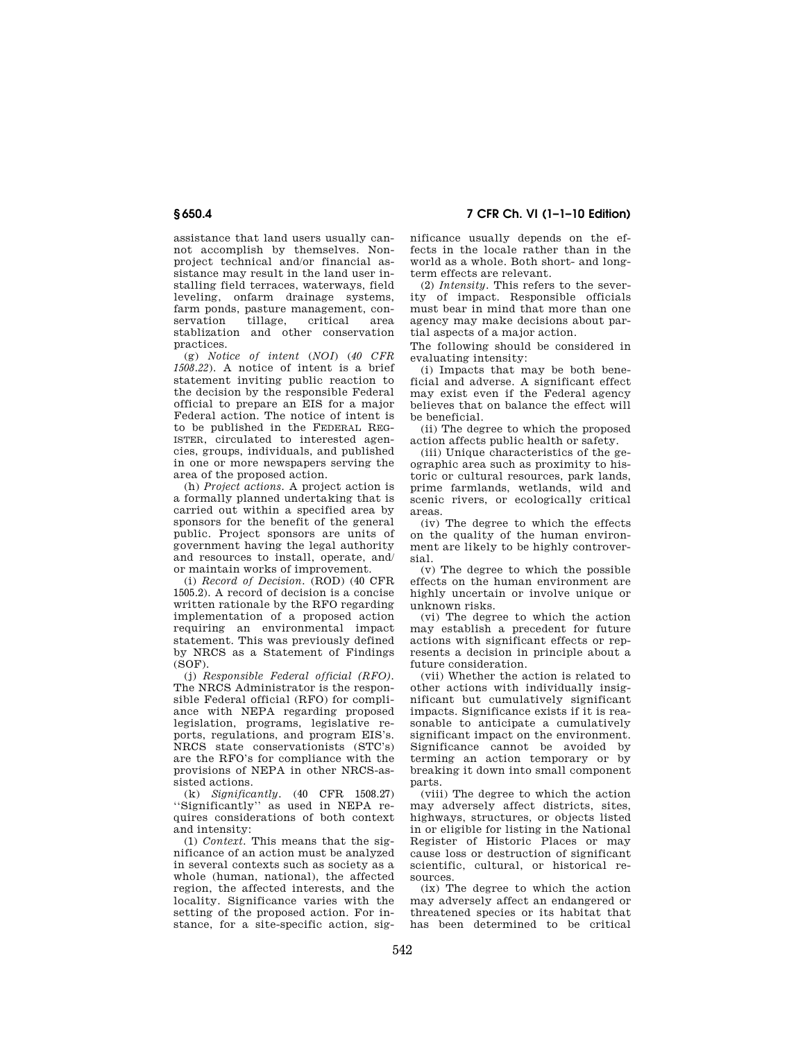# **§ 650.4 7 CFR Ch. VI (1–1–10 Edition)**

assistance that land users usually cannot accomplish by themselves. Nonproject technical and/or financial assistance may result in the land user installing field terraces, waterways, field leveling, onfarm drainage systems, farm ponds, pasture management, conservation tillage, critical area stablization and other conservation practices.

(g) *Notice of intent* (*NOI*) (*40 CFR 1508.22*). A notice of intent is a brief statement inviting public reaction to the decision by the responsible Federal official to prepare an EIS for a major Federal action. The notice of intent is to be published in the FEDERAL REG-ISTER, circulated to interested agencies, groups, individuals, and published in one or more newspapers serving the area of the proposed action.

(h) *Project actions.* A project action is a formally planned undertaking that is carried out within a specified area by sponsors for the benefit of the general public. Project sponsors are units of government having the legal authority and resources to install, operate, and/ or maintain works of improvement.

(i) *Record of Decision.* (ROD) (40 CFR 1505.2). A record of decision is a concise written rationale by the RFO regarding implementation of a proposed action requiring an environmental impact statement. This was previously defined by NRCS as a Statement of Findings  $(SOF)$ .

(j) *Responsible Federal official (RFO).*  The NRCS Administrator is the responsible Federal official (RFO) for compliance with NEPA regarding proposed legislation, programs, legislative reports, regulations, and program EIS's. NRCS state conservationists (STC's) are the RFO's for compliance with the provisions of NEPA in other NRCS-assisted actions.

(k) *Significantly.* (40 CFR 1508.27) ''Significantly'' as used in NEPA requires considerations of both context and intensity:

(1) *Context.* This means that the significance of an action must be analyzed in several contexts such as society as a whole (human, national), the affected region, the affected interests, and the locality. Significance varies with the setting of the proposed action. For instance, for a site-specific action, significance usually depends on the effects in the locale rather than in the world as a whole. Both short- and longterm effects are relevant.

(2) *Intensity.* This refers to the severity of impact. Responsible officials must bear in mind that more than one agency may make decisions about partial aspects of a major action.

The following should be considered in evaluating intensity:

(i) Impacts that may be both beneficial and adverse. A significant effect may exist even if the Federal agency believes that on balance the effect will be beneficial.

(ii) The degree to which the proposed action affects public health or safety.

(iii) Unique characteristics of the geographic area such as proximity to historic or cultural resources, park lands, prime farmlands, wetlands, wild and scenic rivers, or ecologically critical areas.

(iv) The degree to which the effects on the quality of the human environment are likely to be highly controversial.

(v) The degree to which the possible effects on the human environment are highly uncertain or involve unique or unknown risks.

(vi) The degree to which the action may establish a precedent for future actions with significant effects or represents a decision in principle about a future consideration.

(vii) Whether the action is related to other actions with individually insignificant but cumulatively significant impacts. Significance exists if it is reasonable to anticipate a cumulatively significant impact on the environment. Significance cannot be avoided by terming an action temporary or by breaking it down into small component parts.

(viii) The degree to which the action may adversely affect districts, sites, highways, structures, or objects listed in or eligible for listing in the National Register of Historic Places or may cause loss or destruction of significant scientific, cultural, or historical resources.

(ix) The degree to which the action may adversely affect an endangered or threatened species or its habitat that has been determined to be critical